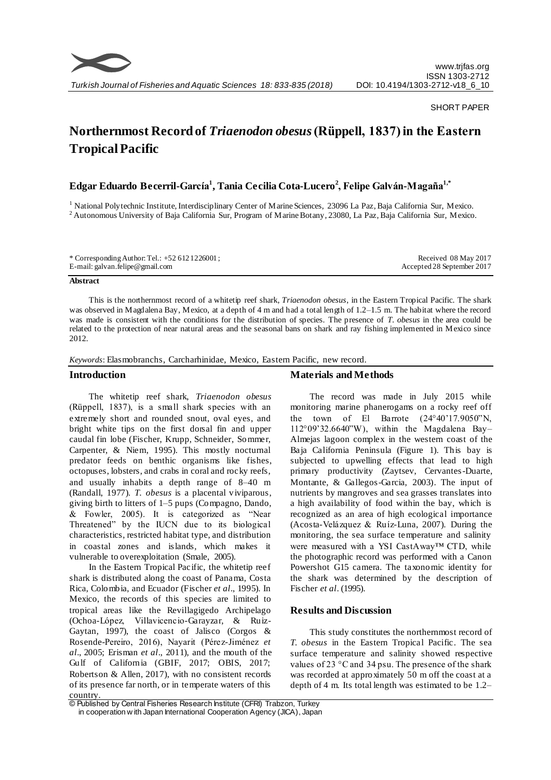

### SHORT PAPER

# **Northernmost Record of** *Triaenodon obesus***(Rüppell, 1837) in the Eastern Tropical Pacific**

# **Edgar Eduardo Becerril-García<sup>1</sup> , Tania Cecilia Cota-Lucero<sup>2</sup> , Felipe Galván-Magaña1,\***

<sup>1</sup> National Polytechnic Institute, Interdisciplinary Center of Marine Sciences, 23096 La Paz, Baja California Sur, Mexico. <sup>2</sup> Autonomous University of Baja California Sur, Program of Marine Botany, 23080, La Paz, Baja California Sur, Mexico.

\* Corresponding Author: Tel.: +52 612 1226001 ; E-mail: galvan.felipe@gmail.com

Received 08 May 2017 Accepted 28 September 2017

#### **Abstract**

This is the northernmost record of a whitetip reef shark, *Triaenodon obesus*, in the Eastern Tropical Pacific. The shark was observed in Magdalena Bay, Mexico, at a depth of 4 m and had a total length of 1.2–1.5 m. The habitat where the record was made is consistent with the conditions for the distribution of species. The presence of *T. obesus* in the area could be related to the protection of near natural areas and the seasonal bans on shark and ray fishing implemented in Mexico since 2012.

*Keywords*: Elasmobranchs, Carcharhinidae, Mexico, Eastern Pacific, new record.

## **Introduction**

The whitetip reef shark, *Triaenodon obesus*  (Rüppell, 1837), is a small shark species with an extremely short and rounded snout, oval eyes, and bright white tips on the first dorsal fin and upper caudal fin lobe (Fischer, Krupp, Schneider, Sommer, Carpenter, & Niem, 1995). This mostly nocturnal predator feeds on benthic organisms like fishes, octopuses, lobsters, and crabs in coral and rocky reefs, and usually inhabits a depth range of 8–40 m (Randall, 1977). *T. obesus* is a placental viviparous, giving birth to litters of 1–5 pups (Compagno, Dando, & Fowler, 2005). It is categorized as "Near Threatened" by the IUCN due to its biological characteristics, restricted habitat type, and distribution in coastal zones and islands, which makes it vulnerable to overexploitation (Smale, 2005).

In the Eastern Tropical Pacific, the whitetip reef shark is distributed along the coast of Panama, Costa Rica, Colombia, and Ecuador (Fischer *et al*., 1995). In Mexico, the records of this species are limited to tropical areas like the Revillagigedo Archipelago (Ochoa-López, Villavicencio-Garayzar, & Ruiz-Gaytan, 1997), the coast of Jalisco (Corgos & Rosende-Pereiro, 2016), Nayarit (Pérez-Jiménez *et al*., 2005; Erisman *et al*., 2011), and the mouth of the Gulf of California (GBIF, 2017; OBIS, 2017; Robertson & Allen, 2017), with no consistent records of its presence far north, or in temperate waters of this country.

# **Materials and Methods**

The record was made in July 2015 while monitoring marine phanerogams on a rocky reef off the town of El Barrote (24°40'17.9050"N, 112°09'32.6640"W), within the Magdalena Bay– Almejas lagoon complex in the western coast of the Baja California Peninsula (Figure 1). This bay is subjected to upwelling effects that lead to high primary productivity (Zaytsev, Cervantes-Duarte, Montante, & Gallegos-Garcia, 2003). The input of nutrients by mangroves and sea grasses translates into a high availability of food within the bay, which is recognized as an area of high ecological importance (Acosta-Velázquez & Ruíz-Luna, 2007). During the monitoring, the sea surface temperature and salinity were measured with a YSI CastAway™ CTD, while the photographic record was performed with a Canon Powershot G15 camera. The taxonomic identity for the shark was determined by the description of Fischer *et al*. (1995).

## **Results and Discussion**

This study constitutes the northernmost record of *T. obesus* in the Eastern Tropical Pacific. The sea surface temperature and salinity showed respective values of 23 °C and 34 psu. The presence of the shark was recorded at approximately 50 m off the coast at a depth of 4 m. Its total length was estimated to be 1.2–

<sup>©</sup> Published by Central Fisheries Research Institute (CFRI) Trabzon, Turkey in cooperation w ith Japan International Cooperation Agency (JICA), Japan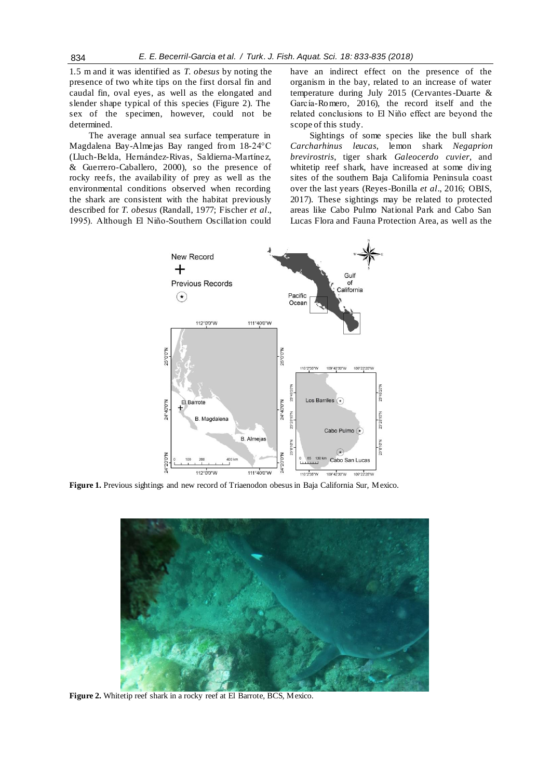1.5 m and it was identified as *T. obesus* by noting the presence of two white tips on the first dorsal fin and caudal fin, oval eyes, as well as the elongated and slender shape typical of this species (Figure 2). The sex of the specimen, however, could not be determined.

The average annual sea surface temperature in Magdalena Bay-Almejas Bay ranged from 18-24°C (Lluch-Belda, Hernández-Rivas, Saldierna-Martínez, & Guerrero-Caballero, 2000), so the presence of rocky reefs, the availability of prey as well as the environmental conditions observed when recording the shark are consistent with the habitat previously described for *T. obesus* (Randall, 1977; Fischer *et al*., 1995). Although El Niño-Southern Oscillation could have an indirect effect on the presence of the organism in the bay, related to an increase of water temperature during July 2015 (Cervantes-Duarte & García-Romero, 2016), the record itself and the related conclusions to El Niño effect are beyond the scope of this study.

Sightings of some species like the bull shark *Carcharhinus leucas*, lemon shark *Negaprion brevirostris*, tiger shark *Galeocerdo cuvier*, and whitetip reef shark, have increased at some diving sites of the southern Baja California Peninsula coast over the last years (Reyes-Bonilla *et al*., 2016; OBIS, 2017). These sightings may be related to protected areas like Cabo Pulmo National Park and Cabo San Lucas Flora and Fauna Protection Area, as well as the



**Figure 1.** Previous sightings and new record of Triaenodon obesus in Baja California Sur, Mexico.



**Figure 2.** Whitetip reef shark in a rocky reef at El Barrote, BCS, Mexico.